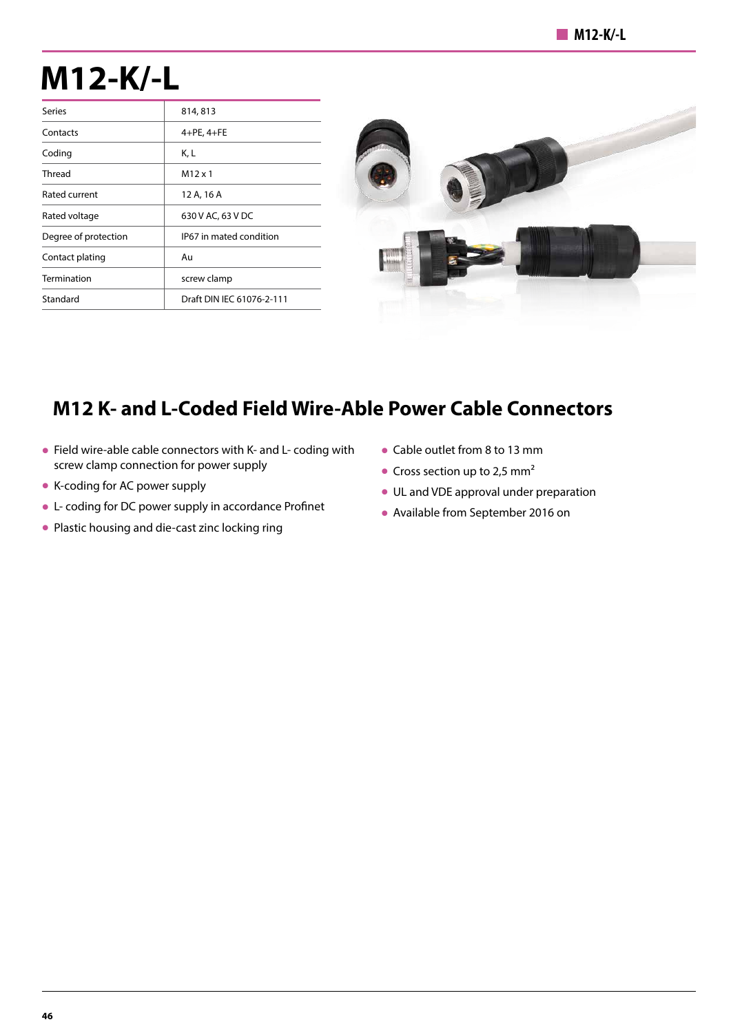## **M12-K/-L**

| <b>Series</b>        | 814, 813                  |
|----------------------|---------------------------|
| Contacts             | $4+PE, 4+FE$              |
| Coding               | K, L                      |
| Thread               | $M12 \times 1$            |
| Rated current        | 12 A, 16 A                |
| Rated voltage        | 630 V AC, 63 V DC         |
| Degree of protection | IP67 in mated condition   |
| Contact plating      | Au                        |
| Termination          | screw clamp               |
| Standard             | Draft DIN IEC 61076-2-111 |



## **M12 K- and L-Coded Field Wire-Able Power Cable Connectors**

- Field wire-able cable connectors with K- and L- coding with screw clamp connection for power supply
- K-coding for AC power supply
- L- coding for DC power supply in accordance Profinet
- Plastic housing and die-cast zinc locking ring
- Cable outlet from 8 to 13 mm
- Cross section up to 2,5 mm<sup>2</sup>
- UL and VDE approval under preparation
- Available from September 2016 on